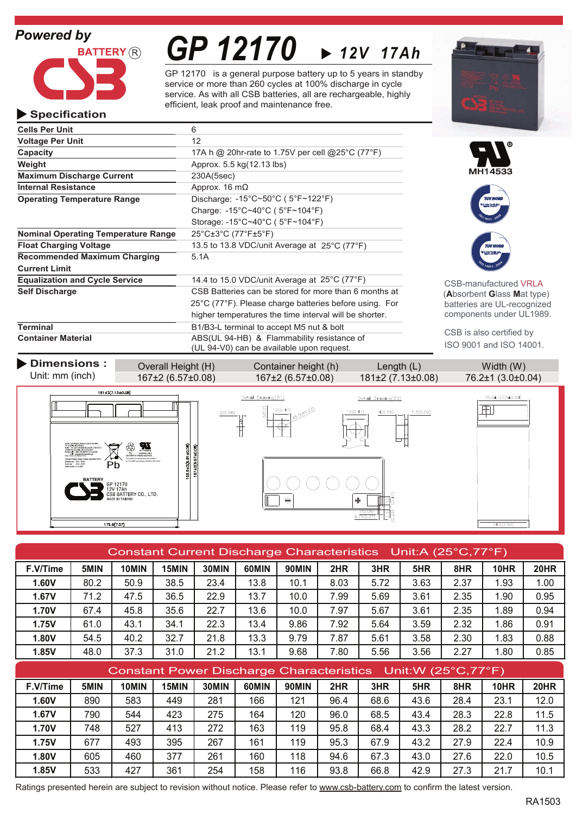# *Powered by*



# *GP 12170 12V 17Ah*

GP 12170 is a general purpose battery up to 5 years in standby service or more than 260 cycles at 100% discharge in cycle service. As with all CSB batteries, all are rechargeable, highly efficient, leak proof and maintenance free.



### **Specification**

| <b>Cells Per Unit</b>                      | 6                                                                                                         |
|--------------------------------------------|-----------------------------------------------------------------------------------------------------------|
| <b>Voltage Per Unit</b>                    | 12                                                                                                        |
| Capacity                                   | 17A h @ 20hr-rate to 1.75V per cell @25°C (77°F)                                                          |
| Weight                                     | Approx. 5.5 kg(12.13 lbs)                                                                                 |
| <b>Maximum Discharge Current</b>           | 230A(5sec)                                                                                                |
| <b>Internal Resistance</b>                 | Approx. 16 $m\Omega$                                                                                      |
| <b>Operating Temperature Range</b>         | Discharge: $-15^{\circ}$ C~50 $^{\circ}$ C (5 $^{\circ}$ F~122 $^{\circ}$ F)                              |
|                                            | Charge: $-15^{\circ}$ C $-40^{\circ}$ C ( $5^{\circ}$ F $-104^{\circ}$ F)                                 |
|                                            | Storage: $-15^{\circ}$ C $\sim$ 40 $^{\circ}$ C (5 $^{\circ}$ F $\sim$ 104 $^{\circ}$ F)                  |
| <b>Nominal Operating Temperature Range</b> | 25°C±3°C (77°F±5°F)                                                                                       |
| <b>Float Charging Voltage</b>              | 13.5 to 13.8 VDC/unit Average at $25^{\circ}$ C (77 $^{\circ}$ F)                                         |
| <b>Recommended Maximum Charging</b>        | 5.1A                                                                                                      |
| <b>Current Limit</b>                       |                                                                                                           |
| <b>Equalization and Cycle Service</b>      | 14.4 to 15.0 VDC/unit Average at $25^{\circ}$ C (77 $^{\circ}$ F)                                         |
| <b>Self Discharge</b>                      | CSB Batteries can be stored for more than 6 months at                                                     |
|                                            | 25°C (77°F). Please charge batteries before using. For                                                    |
|                                            | higher temperatures the time interval will be shorter.                                                    |
| <b>Terminal</b>                            | B <sub>1</sub> /B <sub>3</sub> -L terminal to accept M <sub>5</sub> nut & bolt                            |
| <b>Container Material</b>                  | ABS(UL 94-HB) & Flammability resistance of<br>$(111.04 \times 10)$ and he arraited to recover an interior |





CSB-manufactured VRLA (**A**bsorbent **G**lass **M**at type) batteries are UL-recognized components under UL1989.

CSB is also certified by ISO 9001 and ISO 14001.



| Constant Current Discharge Characteristics Unit:A (25°C,77°F) |               |                |                                                                                                          |                  |         |                |        |      |      |      |             |             |
|---------------------------------------------------------------|---------------|----------------|----------------------------------------------------------------------------------------------------------|------------------|---------|----------------|--------|------|------|------|-------------|-------------|
| F.V/Time                                                      | 5MIN          | 10MIN          | 15MIN                                                                                                    | 30MIN            | 60MIN   | 90MIN          | 2HR    | 3HR  | 5HR  | 8HR  | <b>10HR</b> | <b>20HR</b> |
| 1.60V                                                         | 80.2          | 50.9           | 38.5                                                                                                     | 23.4             | 13.8    | 10.1           | 8.03   | 5.72 | 3.63 | 2.37 | 1.93        | 1.00        |
| <b>1.67V</b>                                                  | 71.2          | 47.5           | 36.5                                                                                                     | 22.9             | 13.7    | 10.0           | 7.99   | 5.69 | 3.61 | 2.35 | 1.90        | 0.95        |
| 1.70V                                                         | 67.4          | 45.8           | 35.6                                                                                                     | 22.7             | 13.6    | 10.0           | 7.97   | 5.67 | 3.61 | 2.35 | 1.89        | 0.94        |
| 1.75V                                                         | 61.0          | 43.1           | 34.1                                                                                                     | 22.3             | 13.4    | 9.86           | 7.92   | 5.64 | 3.59 | 2.32 | 1.86        | 0.91        |
| 1.80V                                                         | 54.5          | 40.2           | 32.7                                                                                                     | 21.8             | 13.3    | 9.79           | 7.87   | 5.61 | 3.58 | 2.30 | 1.83        | 0.88        |
| 1.85V                                                         | 48.0          | 37.3           | 31.0                                                                                                     | 21.2             | 13.1    | 9.68           | 7.80   | 5.56 | 3.56 | 2.27 | 1.80        | 0.85        |
| Constant Power Discharge Characteristics Unit: W (25°C, 77°F) |               |                |                                                                                                          |                  |         |                |        |      |      |      |             |             |
| $T \sim T$                                                    | <b>CASINI</b> | <b>ACRAINE</b> | $\overline{A}$ $\overline{B}$ $\overline{B}$ $\overline{B}$ $\overline{B}$ $\overline{B}$ $\overline{B}$ | <b>OOBRIEL I</b> | COBRINE | <b>OOMAINE</b> | $\sim$ | 5115 | cum. | 0.15 | 1011D       | 0011D       |

| F.V/Time | 5MIN | 10MIN | 15MIN | 30MIN | 60MIN | <b>90MIN</b> | 2HR  | 3HR  | 5HR  | 8HR  | 10HR | 20HR |
|----------|------|-------|-------|-------|-------|--------------|------|------|------|------|------|------|
| .60V     | 890  | 583   | 449   | 281   | 166   | 121          | 96.4 | 68.6 | 43.6 | 28.4 | 23.1 | 12.0 |
| 1.67V    | 790  | 544   | 423   | 275   | 164   | 120          | 96.0 | 68.5 | 43.4 | 28.3 | 22.8 | 11.5 |
| 1.70V    | 748  | 527   | 413   | 272   | 163   | 119          | 95.8 | 68.4 | 43.3 | 28.2 | 22.1 | 11.3 |
| 1.75V    | 677  | 493   | 395   | 267   | 161   | 119          | 95.3 | 67.9 | 43.2 | 27.9 | 22.4 | 10.9 |
| 1.80V    | 605  | 460   | 377   | 261   | 160   | 118          | 94.6 | 67.3 | 43.0 | 27.6 | 22.0 | 10.5 |
| 1.85V    | 533  | 427   | 361   | 254   | 158   | 116          | 93.8 | 66.8 | 42.9 | 27.3 | 21.  | 10.1 |

Ratings presented herein are subject to revision without notice. Please refer to www.csb-battery.com to confirm the latest version.